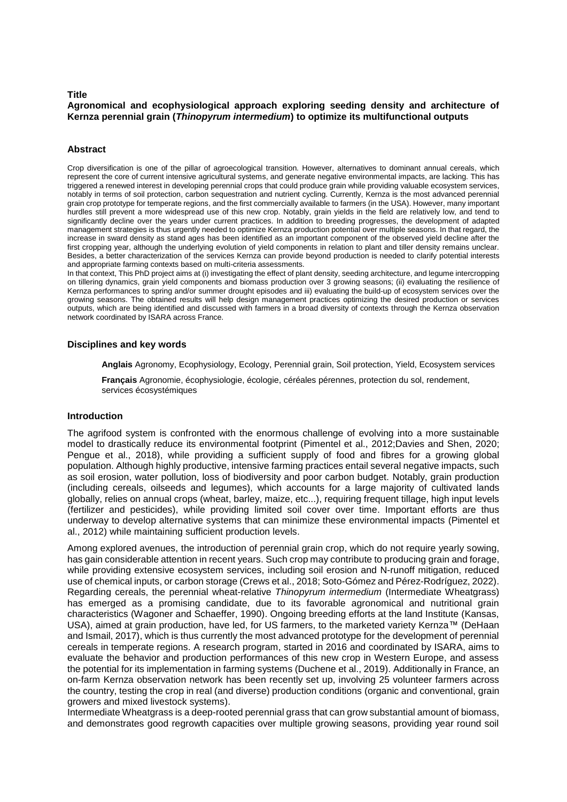#### **Title**

## **Agronomical and ecophysiological approach exploring seeding density and architecture of Kernza perennial grain (***Thinopyrum intermedium***) to optimize its multifunctional outputs**

### **Abstract**

Crop diversification is one of the pillar of agroecological transition. However, alternatives to dominant annual cereals, which represent the core of current intensive agricultural systems, and generate negative environmental impacts, are lacking. This has triggered a renewed interest in developing perennial crops that could produce grain while providing valuable ecosystem services, notably in terms of soil protection, carbon sequestration and nutrient cycling. Currently, Kernza is the most advanced perennial grain crop prototype for temperate regions, and the first commercially available to farmers (in the USA). However, many important hurdles still prevent a more widespread use of this new crop. Notably, grain yields in the field are relatively low, and tend to significantly decline over the years under current practices. In addition to breeding progresses, the development of adapted management strategies is thus urgently needed to optimize Kernza production potential over multiple seasons. In that regard, the increase in sward density as stand ages has been identified as an important component of the observed yield decline after the first cropping year, although the underlying evolution of yield components in relation to plant and tiller density remains unclear. Besides, a better characterization of the services Kernza can provide beyond production is needed to clarify potential interests and appropriate farming contexts based on multi-criteria assessments.

In that context, This PhD project aims at (i) investigating the effect of plant density, seeding architecture, and legume intercropping on tillering dynamics, grain yield components and biomass production over 3 growing seasons; (ii) evaluating the resilience of Kernza performances to spring and/or summer drought episodes and iii) evaluating the build-up of ecosystem services over the growing seasons. The obtained results will help design management practices optimizing the desired production or services outputs, which are being identified and discussed with farmers in a broad diversity of contexts through the Kernza observation network coordinated by ISARA across France.

#### **Disciplines and key words**

**Anglais** Agronomy, Ecophysiology, Ecology, Perennial grain, Soil protection, Yield, Ecosystem services

**Français** Agronomie, écophysiologie, écologie, céréales pérennes, protection du sol, rendement, services écosystémiques

## **Introduction**

The agrifood system is confronted with the enormous challenge of evolving into a more sustainable model to drastically reduce its environmental footprint (Pimentel et al., 2012;Davies and Shen, 2020; Pengue et al., 2018), while providing a sufficient supply of food and fibres for a growing global population. Although highly productive, intensive farming practices entail several negative impacts, such as soil erosion, water pollution, loss of biodiversity and poor carbon budget. Notably, grain production (including cereals, oilseeds and legumes), which accounts for a large majority of cultivated lands globally, relies on annual crops (wheat, barley, maize, etc...), requiring frequent tillage, high input levels (fertilizer and pesticides), while providing limited soil cover over time. Important efforts are thus underway to develop alternative systems that can minimize these environmental impacts (Pimentel et al., 2012) while maintaining sufficient production levels.

Among explored avenues, the introduction of perennial grain crop, which do not require yearly sowing, has gain considerable attention in recent years. Such crop may contribute to producing grain and forage, while providing extensive ecosystem services, including soil erosion and N-runoff mitigation, reduced use of chemical inputs, or carbon storage (Crews et al., 2018; Soto-Gómez and Pérez-Rodríguez, 2022). Regarding cereals, the perennial wheat-relative *Thinopyrum intermedium* (Intermediate Wheatgrass) has emerged as a promising candidate, due to its favorable agronomical and nutritional grain characteristics (Wagoner and Schaeffer, 1990). Ongoing breeding efforts at the land Institute (Kansas, USA), aimed at grain production, have led, for US farmers, to the marketed variety Kernza™ (DeHaan and Ismail, 2017), which is thus currently the most advanced prototype for the development of perennial cereals in temperate regions. A research program, started in 2016 and coordinated by ISARA, aims to evaluate the behavior and production performances of this new crop in Western Europe, and assess the potential for its implementation in farming systems (Duchene et al., 2019). Additionally in France, an on-farm Kernza observation network has been recently set up, involving 25 volunteer farmers across the country, testing the crop in real (and diverse) production conditions (organic and conventional, grain growers and mixed livestock systems).

Intermediate Wheatgrass is a deep-rooted perennial grass that can grow substantial amount of biomass, and demonstrates good regrowth capacities over multiple growing seasons, providing year round soil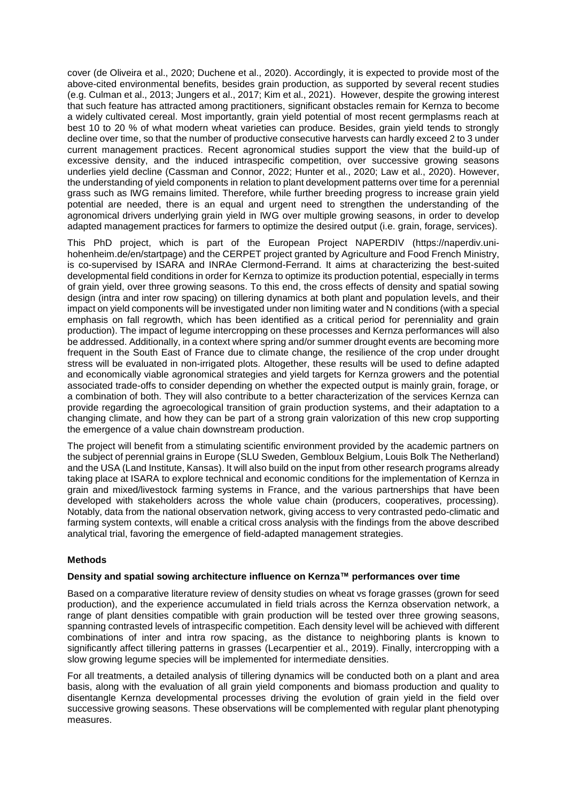cover (de Oliveira et al., 2020; Duchene et al., 2020). Accordingly, it is expected to provide most of the above-cited environmental benefits, besides grain production, as supported by several recent studies (e.g. Culman et al., 2013; Jungers et al., 2017; Kim et al., 2021). However, despite the growing interest that such feature has attracted among practitioners, significant obstacles remain for Kernza to become a widely cultivated cereal. Most importantly, grain yield potential of most recent germplasms reach at best 10 to 20 % of what modern wheat varieties can produce. Besides, grain yield tends to strongly decline over time, so that the number of productive consecutive harvests can hardly exceed 2 to 3 under current management practices. Recent agronomical studies support the view that the build-up of excessive density, and the induced intraspecific competition, over successive growing seasons underlies yield decline (Cassman and Connor, 2022; Hunter et al., 2020; Law et al., 2020). However, the understanding of yield components in relation to plant development patterns over time for a perennial grass such as IWG remains limited. Therefore, while further breeding progress to increase grain yield potential are needed, there is an equal and urgent need to strengthen the understanding of the agronomical drivers underlying grain yield in IWG over multiple growing seasons, in order to develop adapted management practices for farmers to optimize the desired output (i.e. grain, forage, services).

This PhD project, which is part of the European Project NAPERDIV (https://naperdiv.unihohenheim.de/en/startpage) and the CERPET project granted by Agriculture and Food French Ministry, is co-supervised by ISARA and INRAe Clermond-Ferrand. It aims at characterizing the best-suited developmental field conditions in order for Kernza to optimize its production potential, especially in terms of grain yield, over three growing seasons. To this end, the cross effects of density and spatial sowing design (intra and inter row spacing) on tillering dynamics at both plant and population levels, and their impact on yield components will be investigated under non limiting water and N conditions (with a special emphasis on fall regrowth, which has been identified as a critical period for perenniality and grain production). The impact of legume intercropping on these processes and Kernza performances will also be addressed. Additionally, in a context where spring and/or summer drought events are becoming more frequent in the South East of France due to climate change, the resilience of the crop under drought stress will be evaluated in non-irrigated plots. Altogether, these results will be used to define adapted and economically viable agronomical strategies and yield targets for Kernza growers and the potential associated trade-offs to consider depending on whether the expected output is mainly grain, forage, or a combination of both. They will also contribute to a better characterization of the services Kernza can provide regarding the agroecological transition of grain production systems, and their adaptation to a changing climate, and how they can be part of a strong grain valorization of this new crop supporting the emergence of a value chain downstream production.

The project will benefit from a stimulating scientific environment provided by the academic partners on the subject of perennial grains in Europe (SLU Sweden, Gembloux Belgium, Louis Bolk The Netherland) and the USA (Land Institute, Kansas). It will also build on the input from other research programs already taking place at ISARA to explore technical and economic conditions for the implementation of Kernza in grain and mixed/livestock farming systems in France, and the various partnerships that have been developed with stakeholders across the whole value chain (producers, cooperatives, processing). Notably, data from the national observation network, giving access to very contrasted pedo-climatic and farming system contexts, will enable a critical cross analysis with the findings from the above described analytical trial, favoring the emergence of field-adapted management strategies.

# **Methods**

## **Density and spatial sowing architecture influence on Kernza™ performances over time**

Based on a comparative literature review of density studies on wheat vs forage grasses (grown for seed production), and the experience accumulated in field trials across the Kernza observation network, a range of plant densities compatible with grain production will be tested over three growing seasons, spanning contrasted levels of intraspecific competition. Each density level will be achieved with different combinations of inter and intra row spacing, as the distance to neighboring plants is known to significantly affect tillering patterns in grasses (Lecarpentier et al., 2019). Finally, intercropping with a slow growing legume species will be implemented for intermediate densities.

For all treatments, a detailed analysis of tillering dynamics will be conducted both on a plant and area basis, along with the evaluation of all grain yield components and biomass production and quality to disentangle Kernza developmental processes driving the evolution of grain yield in the field over successive growing seasons. These observations will be complemented with regular plant phenotyping measures.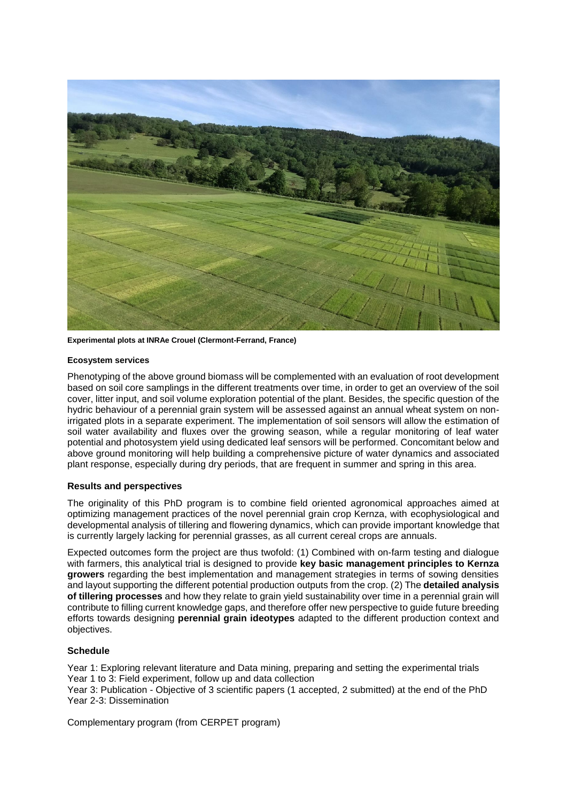

**Experimental plots at INRAe Crouel (Clermont-Ferrand, France)**

### **Ecosystem services**

Phenotyping of the above ground biomass will be complemented with an evaluation of root development based on soil core samplings in the different treatments over time, in order to get an overview of the soil cover, litter input, and soil volume exploration potential of the plant. Besides, the specific question of the hydric behaviour of a perennial grain system will be assessed against an annual wheat system on nonirrigated plots in a separate experiment. The implementation of soil sensors will allow the estimation of soil water availability and fluxes over the growing season, while a regular monitoring of leaf water potential and photosystem yield using dedicated leaf sensors will be performed. Concomitant below and above ground monitoring will help building a comprehensive picture of water dynamics and associated plant response, especially during dry periods, that are frequent in summer and spring in this area.

## **Results and perspectives**

The originality of this PhD program is to combine field oriented agronomical approaches aimed at optimizing management practices of the novel perennial grain crop Kernza, with ecophysiological and developmental analysis of tillering and flowering dynamics, which can provide important knowledge that is currently largely lacking for perennial grasses, as all current cereal crops are annuals.

Expected outcomes form the project are thus twofold: (1) Combined with on-farm testing and dialogue with farmers, this analytical trial is designed to provide **key basic management principles to Kernza growers** regarding the best implementation and management strategies in terms of sowing densities and layout supporting the different potential production outputs from the crop. (2) The **detailed analysis of tillering processes** and how they relate to grain yield sustainability over time in a perennial grain will contribute to filling current knowledge gaps, and therefore offer new perspective to guide future breeding efforts towards designing **perennial grain ideotypes** adapted to the different production context and objectives.

## **Schedule**

Year 1: Exploring relevant literature and Data mining, preparing and setting the experimental trials Year 1 to 3: Field experiment, follow up and data collection

Year 3: Publication - Objective of 3 scientific papers (1 accepted, 2 submitted) at the end of the PhD Year 2-3: Dissemination

Complementary program (from CERPET program)